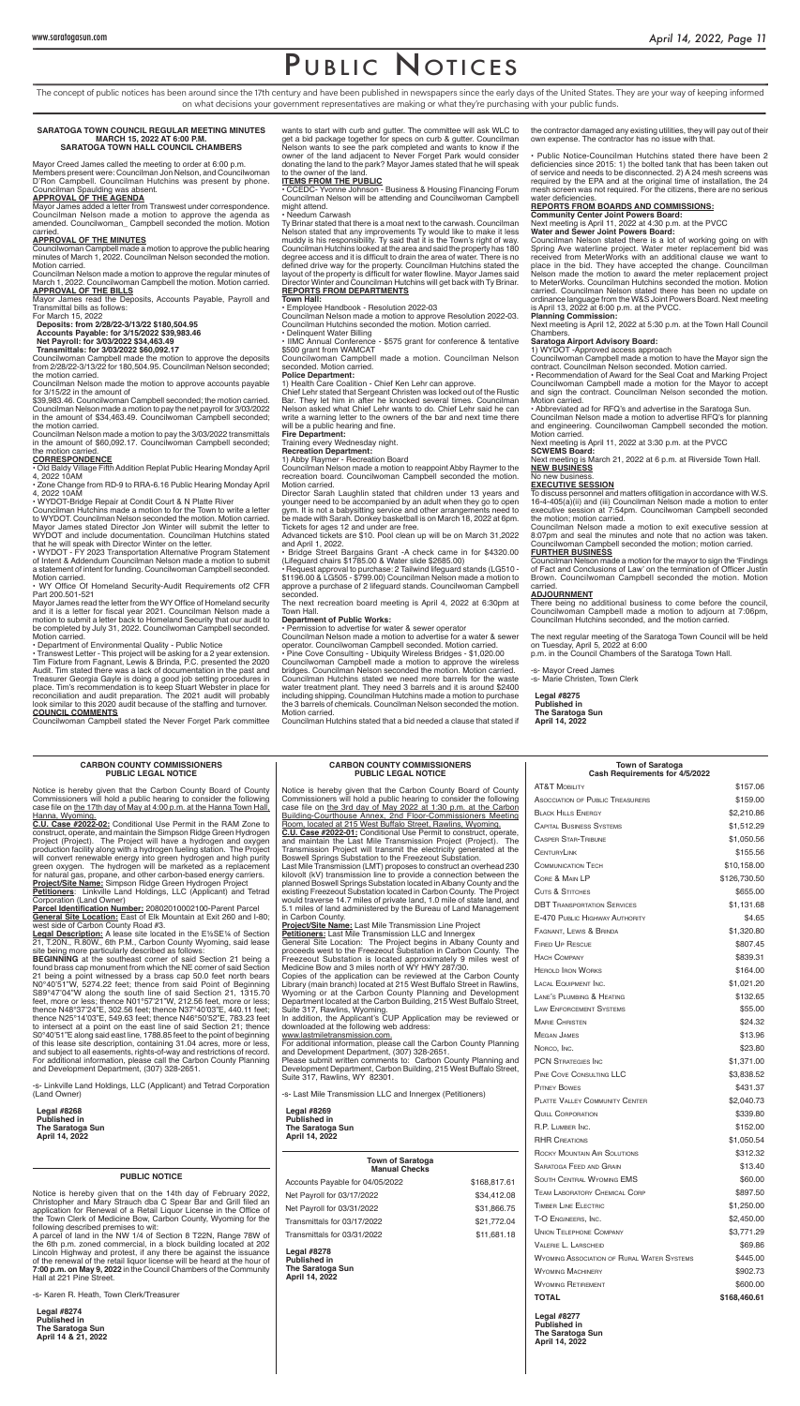# PUBLIC NOTICES

The concept of public notices has been around since the 17th century and have been published in newspapers since the early days of the United States. They are your way of keeping informed on what decisions your government representatives are making or what they're purchasing with your public funds.

# **CARBON COUNTY COMMISSIONERS PUBLIC LEGAL NOTICE**

Notice is hereby given that the Carbon County Board of County

# **CARBON COUNTY COMMISSIONERS PUBLIC LEGAL NOTICE**

Mayor James added a letter from Transwest under correspondence. Councilman Nelson made a motion to approve the agenda as amended. Councilwoman\_ Campbell seconded the motion. Motion carried.

Notice is hereby given that the Carbon County Board of County

• WYDOT - FY 2023 Transportation Alternative Program Statement of Intent & Addendum Councilman Nelson made a motion to submit a statement of intent for funding. Councilwoman Campbell seconded. Motion carried.

• IIMC Annual Conference - \$575 grant for conference & tentative \$500 grant from WAMCAT

# **SARATOGA TOWN COUNCIL REGULAR MEETING MINUTES MARCH 15, 2022 AT 6:00 P.M. SARATOGA TOWN HALL COUNCIL CHAMBERS**

Mayor Creed James called the meeting to order at 6:00 p.m. Members present were: Councilman Jon Nelson, and Councilwoman D'Ron Campbell. Councilman Hutchins was present by phone. Councilman Spaulding was absent.

# **APPROVAL OF THE AGENDA**

# **APPROVAL OF THE MINUTES**

Councilwoman Campbell made a motion to approve the public hearing minutes of March 1, 2022. Councilman Nelson seconded the motion. Motion carried.

Councilman Nelson made a motion to approve the regular minutes of March 1, 2022. Councilwoman Campbell the motion. Motion carried. **APPROVAL OF THE BILLS**

Mayor James read the Deposits, Accounts Payable, Payroll and Transmittal bills as follows:

For March 15, 2022

**Deposits: from 2/28/22-3/13/22 \$180,504.95 Accounts Payable: for 3/15/2022 \$39,983.46 Net Payroll: for 3/03/2022 \$34,463.49 Transmittals: for 3/03/2022 \$60,092.17**

Councilwoman Campbell made the motion to approve the deposits from 2/28/22-3/13/22 for 180,504.95. Councilman Nelson seconded; the motion carried.

Councilman Nelson made the motion to approve accounts payable for 3/15/22 in the amount of

\$39,983.46. Councilwoman Campbell seconded; the motion carried. Councilman Nelson made a motion to pay the net payroll for 3/03/2022 in the amount of \$34,463.49. Councilwoman Campbell seconded; the motion carried.

Councilman Nelson made a motion to pay the 3/03/2022 transmittals in the amount of \$60,092.17. Councilwoman Campbell seconded; the motion carried.

# **CORRESPONDENCE**

• Old Baldy Village Fifth Addition Replat Public Hearing Monday April 4, 2022 10AM

• Zone Change from RD-9 to RRA-6.16 Public Hearing Monday April 4, 2022 10AM

• WYDOT-Bridge Repair at Condit Court & N Platte River

Councilman Hutchins made a motion to for the Town to write a letter to WYDOT. Councilman Nelson seconded the motion. Motion carried. Mayor James stated Director Jon Winter will submit the letter to WYDOT and include documentation. Councilman Hutchins stated that he will speak with Director Winter on the letter.

• WY Office Of Homeland Security-Audit Requirements of2 CFR Part 200.501-521

Mayor James read the letter from the WY Office of Homeland security and it is a letter for fiscal year 2021. Councilman Nelson made a motion to submit a letter back to Homeland Security that our audit to be completed by July 31, 2022. Councilwoman Campbell seconded. Motion carried.

• Department of Environmental Quality - Public Notice

• Transwest Letter - This project will be asking for a 2 year extension. Tim Fixture from Fagnant, Lewis & Brinda, P.C. presented the 2020 Audit. Tim stated there was a lack of documentation in the past and Treasurer Georgia Gayle is doing a good job setting procedures in place. Tim's recommendation is to keep Stuart Webster in place for reconciliation and audit preparation. The 2021 audit will probably look similar to this 2020 audit because of the staffing and turnover. **COUNCIL COMMENTS**

Councilwoman Campbell stated the Never Forget Park committee

wants to start with curb and gutter. The committee will ask WLC to get a bid package together for specs on curb & gutter. Councilman Nelson wants to see the park completed and wants to know if the owner of the land adjacent to Never Forget Park would consider donating the land to the park? Mayor James stated that he will speak to the owner of the land.

# **ITEMS FROM THE PUBLIC**

• CCEDC- Yvonne Johnson - Business & Housing Financing Forum Councilman Nelson will be attending and Councilwoman Campbell might attend.

# • Needum Carwash

| Commissioners will hold a public hearing to consider the following                                                                               | Commissioners will hold a public hearing to consider the following                                                                         | <b>ASOCCIATION OF PUBLIC TREASURERS</b>                                                | \$159.00     |
|--------------------------------------------------------------------------------------------------------------------------------------------------|--------------------------------------------------------------------------------------------------------------------------------------------|----------------------------------------------------------------------------------------|--------------|
| case file on the 17th day of May at 4:00 p.m. at the Hanna Town Hall,<br>Hanna, Wyoming.                                                         | case file on the 3rd day of May 2022 at 1:30 p.m. at the Carbon<br>Building-Courthouse Annex, 2nd Floor-Commissioners Meeting              | <b>BLACK HILLS ENERGY</b>                                                              | \$2,210.86   |
| C.U. Case #2022-02: Conditional Use Permit in the RAM Zone to                                                                                    | Room, located at 215 West Buffalo Street, Rawlins, Wyoming.                                                                                | <b>CAPITAL BUSINESS SYSTEMS</b>                                                        | \$1,512.29   |
| construct, operate, and maintain the Simpson Ridge Green Hydrogen<br>Project (Project). The Project will have a hydrogen and oxygen              | C.U. Case #2022-01: Conditional Use Permit to construct, operate,<br>and maintain the Last Mile Transmission Project (Project). The        | <b>CASPER STAR-TRIBUNE</b>                                                             | \$1,050.56   |
| production facility along with a hydrogen fueling station. The Project                                                                           | Transmission Project will transmit the electricity generated at the                                                                        | <b>CENTURYLINK</b>                                                                     | \$155.56     |
| will convert renewable energy into green hydrogen and high purity<br>green oxygen. The hydrogen will be marketed as a replacement                | Boswell Springs Substation to the Freezeout Substation.<br>Last Mile Transmission (LMT) proposes to construct an overhead 230              | <b>COMMUNICATION TECH</b>                                                              | \$10,158.00  |
| for natural gas, propane, and other carbon-based energy carriers.                                                                                | kilovolt (kV) transmission line to provide a connection between the                                                                        | CORE & MAIN LP                                                                         | \$126,730.50 |
| Project/Site Name: Simpson Ridge Green Hydrogen Project<br>Petitioners: Linkville Land Holdings, LLC (Applicant) and Tetrad                      | planned Boswell Springs Substation located in Albany County and the<br>existing Freezeout Substation located in Carbon County. The Project | <b>CUTS &amp; STITCHES</b>                                                             | \$655.00     |
| Corporation (Land Owner)                                                                                                                         | would traverse 14.7 miles of private land, 1.0 mile of state land, and                                                                     | <b>DBT TRANSPORTATION SERVICES</b>                                                     | \$1,131.68   |
| Parcel Identification Number: 20802010002100-Parent Parcel<br>General Site Location: East of Elk Mountain at Exit 260 and I-80;                  | 5.1 miles of land administered by the Bureau of Land Management<br>in Carbon County.                                                       | E-470 PUBLIC HIGHWAY AUTHORITY                                                         | \$4.65       |
| west side of Carbon County Road #3.                                                                                                              | Project/Site Name: Last Mile Transmission Line Project                                                                                     |                                                                                        |              |
| <b>Legal Description:</b> A lease site located in the E1/2SE1/4 of Section                                                                       | <b>Petitioners:</b> Last Mile Transmission LLC and Innergex                                                                                | FAGNANT, LEWIS & BRINDA                                                                | \$1,320.80   |
| 21, T.20N., R.80W., 6th P.M., Carbon County Wyoming, said lease<br>site being more particularly described as follows:                            | General Site Location: The Project begins in Albany County and<br>proceeds west to the Freezeout Substation in Carbon County. The          | <b>FIRED UP RESCUE</b>                                                                 | \$807.45     |
| <b>BEGINNING</b> at the southeast corner of said Section 21 being a                                                                              | Freezeout Substation is located approximately 9 miles west of                                                                              | <b>HACH COMPANY</b>                                                                    | \$839.31     |
| found brass cap monument from which the NE corner of said Section<br>21 being a point witnessed by a brass cap 50.0 feet north bears             | Medicine Bow and 3 miles north of WY HWY 287/30.<br>Copies of the application can be reviewed at the Carbon County                         | <b>HEROLD IRON WORKS</b>                                                               | \$164.00     |
| N0°40'51"W, 5274.22 feet; thence from said Point of Beginning                                                                                    | Library (main branch) located at 215 West Buffalo Street in Rawlins,                                                                       | LACAL EQUIPMENT INC.                                                                   | \$1,021.20   |
| S89°47'04"W along the south line of said Section 21, 1315.70<br>feet, more or less; thence N01°57'21"W, 212.56 feet, more or less;               | Wyoming or at the Carbon County Planning and Development<br>Department located at the Carbon Building, 215 West Buffalo Street,            | LANE'S PLUMBING & HEATING                                                              | \$132.65     |
| thence N48°37'24"E, 302.56 feet; thence N37°40'03"E, 440.11 feet;                                                                                | Suite 317, Rawlins, Wyoming.                                                                                                               | LAW ENFORCEMENT SYSTEMS                                                                | \$55.00      |
| thence N25°14'03"E, 549.63 feet; thence N46°50'52"E, 783.23 feet<br>to intersect at a point on the east line of said Section 21; thence          | In addition, the Applicant's CUP Application may be reviewed or<br>downloaded at the following web address:                                | <b>MARIE CHRISTEN</b>                                                                  | \$24.32      |
| S0°40'51"E along said east line, 1788.85 feet to the point of beginning                                                                          | www.lastmiletransmission.com.                                                                                                              | <b>MEGAN JAMES</b>                                                                     | \$13.96      |
| of this lease site description, containing 31.04 acres, more or less,<br>and subject to all easements, rights-of-way and restrictions of record. | For additional information, please call the Carbon County Planning<br>and Development Department, (307) 328-2651.                          | NORCO, INC.                                                                            | \$23.80      |
| For additional information, please call the Carbon County Planning                                                                               | Please submit written comments to: Carbon County Planning and                                                                              | <b>PCN STRATEGIES INC</b>                                                              | \$1,371.00   |
| and Development Department, (307) 328-2651.                                                                                                      | Development Department, Carbon Building, 215 West Buffalo Street,<br>Suite 317, Rawlins, WY 82301.                                         | PINE COVE CONSULTING LLC                                                               | \$3,838.52   |
| -s- Linkville Land Holdings, LLC (Applicant) and Tetrad Corporation                                                                              |                                                                                                                                            | <b>PITNEY BOWES</b>                                                                    | \$431.37     |
| (Land Owner)                                                                                                                                     | -s- Last Mile Transmission LLC and Innergex (Petitioners)                                                                                  | <b>PLATTE VALLEY COMMUNITY CENTER</b>                                                  | \$2,040.73   |
| <b>Legal #8268</b>                                                                                                                               | <b>Legal #8269</b>                                                                                                                         | <b>QUILL CORPORATION</b>                                                               | \$339.80     |
| <b>Published in</b><br><b>The Saratoga Sun</b>                                                                                                   | <b>Published in</b><br><b>The Saratoga Sun</b>                                                                                             | R.P. LUMBER INC.                                                                       | \$152.00     |
| April 14, 2022                                                                                                                                   | April 14, 2022                                                                                                                             | <b>RHR CREATIONS</b>                                                                   | \$1,050.54   |
|                                                                                                                                                  |                                                                                                                                            | ROCKY MOUNTAIN AIR SOLUTIONS                                                           | \$312.32     |
|                                                                                                                                                  | <b>Town of Saratoga</b>                                                                                                                    | <b>SARATOGA FEED AND GRAIN</b>                                                         | \$13.40      |
| <b>PUBLIC NOTICE</b>                                                                                                                             | <b>Manual Checks</b>                                                                                                                       | SOUTH CENTRAL WYOMING EMS                                                              | \$60.00      |
|                                                                                                                                                  | \$168,817.61<br>Accounts Payable for 04/05/2022                                                                                            |                                                                                        | \$897.50     |
| Notice is hereby given that on the 14th day of February 2022,<br>Christopher and Mary Strauch dba C Spear Bar and Grill filed an                 | Net Payroll for 03/17/2022<br>\$34,412.08                                                                                                  | <b>TEAM LABORATORY CHEMICAL CORP</b>                                                   |              |
| application for Renewal of a Retail Liquor License in the Office of                                                                              | Net Payroll for 03/31/2022<br>\$31,866.75                                                                                                  | <b>TIMBER LINE ELECTRIC</b>                                                            | \$1,250.00   |
| the Town Clerk of Medicine Bow, Carbon County, Wyoming for the<br>following described premises to wit:                                           | \$21,772.04<br>Transmittals for 03/17/2022                                                                                                 | T-O ENGINEERS, INC.                                                                    | \$2,450.00   |
| A parcel of land in the NW 1/4 of Section 8 T22N, Range 78W of                                                                                   | \$11,681.18<br>Transmittals for 03/31/2022                                                                                                 | <b>UNION TELEPHONE COMPANY</b>                                                         | \$3,771.29   |
| the 6th p.m. zoned commercial, in a block building located at 202<br>Lincoln Highway and protest, if any there be against the issuance           | Legal $#8278$                                                                                                                              | <b>VALERIE L. LARSCHEID</b>                                                            | \$69.86      |
| of the renewal of the retail liquor license will be heard at the hour of                                                                         | <b>Published in</b>                                                                                                                        | <b>WYOMING ASSOCIATION OF RURAL WATER SYSTEMS</b>                                      | \$445.00     |
| 7:00 p.m. on May 9, 2022 in the Council Chambers of the Community<br>Hall at 221 Pine Street.                                                    | <b>The Saratoga Sun</b><br>April 14, 2022                                                                                                  | <b>WYOMING MACHINERY</b>                                                               | \$902.73     |
|                                                                                                                                                  |                                                                                                                                            | <b>WYOMING RETIREMENT</b>                                                              | \$600.00     |
| -s- Karen R. Heath, Town Clerk/Treasurer                                                                                                         |                                                                                                                                            | <b>TOTAL</b>                                                                           | \$168,460.61 |
| Legal $#8274$<br><b>Published in</b><br><b>The Saratoga Sun</b><br>April 14 & 21, 2022                                                           |                                                                                                                                            | <b>Legal #8277</b><br><b>Published in</b><br><b>The Saratoga Sun</b><br>April 14, 2022 |              |
|                                                                                                                                                  |                                                                                                                                            |                                                                                        |              |

Ty Brinar stated that there is a moat next to the carwash. Councilman Nelson stated that any improvements Ty would like to make it less muddy is his responsibility. Ty said that it is the Town's right of way. Councilman Hutchins looked at the area and said the property has 180 degree access and it is difficult to drain the area of water. There is no defined drive way for the property. Councilman Hutchins stated the layout of the property is difficult for water flowline. Mayor James said Director Winter and Councilman Hutchins will get back with Ty Brinar. **REPORTS FROM DEPARTMENTS**

# **Town Hall:**

• Employee Handbook - Resolution 2022-03

Councilman Nelson made a motion to approve Resolution 2022-03. Councilman Hutchins seconded the motion. Motion carried. • Delinquent Water Billing

Councilwoman Campbell made a motion. Councilman Nelson seconded. Motion carried.

# **Police Department:**

1) Health Care Coalition - Chief Ken Lehr can approve.

Chief Lehr stated that Sergeant Christen was locked out of the Rustic Bar. They let him in after he knocked several times. Councilman Nelson asked what Chief Lehr wants to do. Chief Lehr said he can write a warning letter to the owners of the bar and next time there will be a public hearing and fine.

**Fire Department:**

Training every Wednesday night.

**Recreation Department:** 

# 1) Abby Raymer - Recreation Board

Councilman Nelson made a motion to reappoint Abby Raymer to the recreation board. Councilwoman Campbell seconded the motion. Motion carried.

Director Sarah Laughlin stated that children under 13 years and younger need to be accompanied by an adult when they go to open gym. It is not a babysitting service and other arrangements need to be made with Sarah. Donkey basketball is on March 18, 2022 at 6pm. Tickets for ages 12 and under are free.

Advanced tickets are \$10. Pool clean up will be on March 31,2022 and April 1, 2022.

• Bridge Street Bargains Grant -A check came in for \$4320.00 (Lifeguard chairs \$1785.00 & Water slide \$2685.00)

• Request approval to purchase: 2 Tailwind lifeguard stands (LG510 - \$1196.00 & LG505 - \$799.00) Councilman Nelson made a motion to approve a purchase of 2 lifeguard stands. Councilwoman Campbell seconded.

The next recreation board meeting is April 4, 2022 at 6:30pm at Town Hall.

# **Department of Public Works:**

# • Permission to advertise for water & sewer operator

Councilman Nelson made a motion to advertise for a water & sewer operator. Councilwoman Campbell seconded. Motion carried.

• Pine Cove Consulting - Ubiquity Wireless Bridges - \$1,020.00 Councilwoman Campbell made a motion to approve the wireless bridges. Councilman Nelson seconded the motion. Motion carried. Councilman Hutchins stated we need more barrels for the waste water treatment plant. They need 3 barrels and it is around \$2400 including shipping. Councilman Hutchins made a motion to purchase the 3 barrels of chemicals. Councilman Nelson seconded the motion. Motion carried.

Councilman Hutchins stated that a bid needed a clause that stated if

the contractor damaged any existing utilities, they will pay out of their own expense. The contractor has no issue with that.

• Public Notice-Councilman Hutchins stated there have been 2 deficiencies since 2015: 1) the bolted tank that has been taken out of service and needs to be disconnected. 2) A 24 mesh screens was required by the EPA and at the original time of installation, the 24 mesh screen was not required. For the citizens, there are no serious water deficiencies.

# **REPORTS FROM BOARDS AND COMMISSIONS:**

**Community Center Joint Powers Board:** Next meeting is April 11, 2022 at 4:30 p.m. at the PVCC

**Water and Sewer Joint Powers Board:**

Councilman Nelson stated there is a lot of working going on with Spring Ave waterline project. Water meter replacement bid was received from MeterWorks with an additional clause we want to place in the bid. They have accepted the change. Councilman Nelson made the motion to award the meter replacement project to MeterWorks. Councilman Hutchins seconded the motion. Motion carried. Councilman Nelson stated there has been no update on ordinance language from the W&S Joint Powers Board. Next meeting is April 13, 2022 at 6:00 p.m. at the PVCC.

**Planning Commission:** 

Next meeting is April 12, 2022 at 5:30 p.m. at the Town Hall Council Chambers.

# **Saratoga Airport Advisory Board:**

1) WYDOT -Approved access approach

Councilwoman Campbell made a motion to have the Mayor sign the contract. Councilman Nelson seconded. Motion carried.

• Recommendation of Award for the Seal Coat and Marking Project Councilwoman Campbell made a motion for the Mayor to accept and sign the contract. Councilman Nelson seconded the motion. Motion carried.

• Abbreviated ad for RFQ's and advertise in the Saratoga Sun.

Councilman Nelson made a motion to advertise RFQ's for planning and engineering. Councilwoman Campbell seconded the motion. Motion carried.

Next meeting is April 11, 2022 at 3:30 p.m. at the PVCC

**SCWEMS Board:** 

Next meeting is March 21, 2022 at 6 p.m. at Riverside Town Hall. **NEW BUSINESS**

# No new business.

**EXECUTIVE SESSION**

To discuss personnel and matters oflitigation in accordance with W.S. 16-4-405(a)(ii) and (iii) Councilman Nelson made a motion to enter executive session at 7:54pm. Councilwoman Campbell seconded the motion; motion carried.

Councilman Nelson made a motion to exit executive session at 8:07pm and seal the minutes and note that no action was taken. Councilwoman Campbell seconded the motion; motion carried.

# **FURTHER BUSINESS**

Councilman Nelson made a motion for the mayor to sign the 'Findings of Fact and Conclusions of Law' on the termination of Officer Justin Brown. Councilwoman Campbell seconded the motion. Motion carried.

# **ADJOURNMENT**

There being no additional business to come before the council, Councilwoman Campbell made a motion to adjourn at 7:06pm, Councilman Hutchins seconded, and the motion carried.

The next regular meeting of the Saratoga Town Council will be held on Tuesday, April 5, 2022 at 6:00

p.m. in the Council Chambers of the Saratoga Town Hall.

-s- Mayor Creed James

-s- Marie Christen, Town Clerk

**Legal #8275 Published in The Saratoga Sun April 14, 2022**

# **Town of Saratoga Cash Requirements for 4/5/2022**